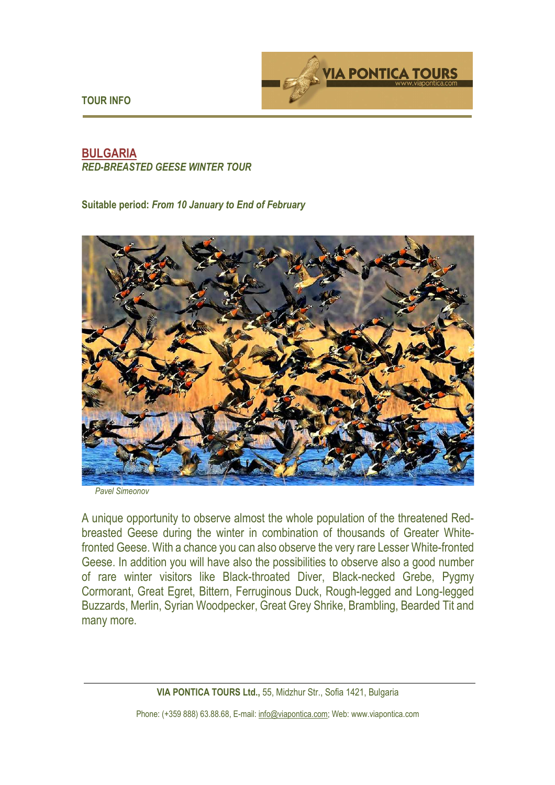**TOUR INFO** 



## **BULGARIA**  *RED-BREASTED GEESE WINTER TOUR*

## **Suitable period:** *From 10 January to End of February*



*Pavel Simeonov* 

A unique opportunity to observe almost the whole population of the threatened Redbreasted Geese during the winter in combination of thousands of Greater Whitefronted Geese. With a chance you can also observe the very rare Lesser White-fronted Geese. In addition you will have also the possibilities to observe also a good number of rare winter visitors like Black-throated Diver, Black-necked Grebe, Pygmy Cormorant, Great Egret, Bittern, Ferruginous Duck, Rough-legged and Long-legged Buzzards, Merlin, Syrian Woodpecker, Great Grey Shrike, Brambling, Bearded Tit and many more.